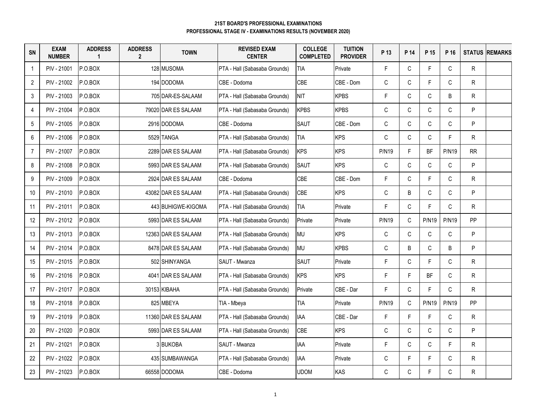| SN             | <b>EXAM</b><br><b>NUMBER</b> | <b>ADDRESS</b><br>$\overline{1}$ | <b>ADDRESS</b><br>$\overline{2}$ | <b>TOWN</b>         | <b>REVISED EXAM</b><br><b>CENTER</b> | <b>COLLEGE</b><br><b>COMPLETED</b> | <b>TUITION</b><br><b>PROVIDER</b> | P 13         | P 14         | P 15         | P 16         |              | <b>STATUS REMARKS</b> |
|----------------|------------------------------|----------------------------------|----------------------------------|---------------------|--------------------------------------|------------------------------------|-----------------------------------|--------------|--------------|--------------|--------------|--------------|-----------------------|
| $\overline{1}$ | PIV - 21001                  | P.O.BOX                          |                                  | 128 MUSOMA          | PTA - Hall (Sabasaba Grounds)        | <b>TIA</b>                         | Private                           | F            | $\mathsf{C}$ | F            | $\mathsf{C}$ | ${\sf R}$    |                       |
| $\overline{2}$ | PIV - 21002                  | P.O.BOX                          |                                  | 194 DODOMA          | CBE - Dodoma                         | CBE                                | CBE - Dom                         | $\mathsf C$  | C            | F            | $\mathsf C$  | R            |                       |
| 3              | PIV - 21003                  | P.O.BOX                          |                                  | 705 DAR-ES-SALAAM   | PTA - Hall (Sabasaba Grounds)        | <b>NIT</b>                         | <b>KPBS</b>                       | F            | $\mathsf{C}$ | $\mathsf C$  | B            | R            |                       |
| $\overline{4}$ | PIV - 21004                  | P.O.BOX                          |                                  | 79020 DAR ES SALAAM | PTA - Hall (Sabasaba Grounds)        | <b>KPBS</b>                        | <b>KPBS</b>                       | $\mathsf C$  | $\mathsf C$  | $\mathsf C$  | C            | P            |                       |
| 5              | PIV - 21005                  | P.O.BOX                          |                                  | 2916 DODOMA         | CBE - Dodoma                         | SAUT                               | CBE - Dom                         | $\mathsf C$  | $\mathsf C$  | $\mathsf C$  | C            | P            |                       |
| 6              | PIV - 21006                  | P.O.BOX                          |                                  | 5529 TANGA          | PTA - Hall (Sabasaba Grounds)        | <b>TIA</b>                         | <b>KPS</b>                        | $\mathsf{C}$ | C            | $\mathsf C$  | F.           | R            |                       |
| $\overline{7}$ | PIV - 21007                  | P.O.BOX                          |                                  | 2289 DAR ES SALAAM  | PTA - Hall (Sabasaba Grounds)        | <b>KPS</b>                         | <b>KPS</b>                        | <b>P/N19</b> | F.           | BF           | <b>P/N19</b> | RR           |                       |
| 8              | PIV - 21008                  | P.O.BOX                          |                                  | 5993 DAR ES SALAAM  | PTA - Hall (Sabasaba Grounds)        | <b>SAUT</b>                        | <b>KPS</b>                        | $\mathsf C$  | $\mathsf{C}$ | $\mathsf C$  | $\mathsf C$  | P            |                       |
| 9              | PIV - 21009                  | P.O.BOX                          |                                  | 2924 DAR ES SALAAM  | CBE - Dodoma                         | CBE                                | CBE - Dom                         | F            | C            | F.           | $\mathsf C$  | $\mathsf{R}$ |                       |
| 10             | PIV - 21010                  | P.O.BOX                          |                                  | 43082 DAR ES SALAAM | PTA - Hall (Sabasaba Grounds)        | <b>CBE</b>                         | <b>KPS</b>                        | $\mathsf C$  | B            | C            | C            | P            |                       |
| 11             | PIV - 21011                  | P.O.BOX                          |                                  | 443 BUHIGWE-KIGOMA  | PTA - Hall (Sabasaba Grounds)        | <b>TIA</b>                         | Private                           | F            | $\mathsf C$  | F            | C            | $\mathsf{R}$ |                       |
| 12             | PIV - 21012                  | P.O.BOX                          |                                  | 5993 DAR ES SALAAM  | PTA - Hall (Sabasaba Grounds)        | Private                            | Private                           | <b>P/N19</b> | $\mathsf{C}$ | <b>P/N19</b> | <b>P/N19</b> | PP           |                       |
| 13             | PIV - 21013                  | P.O.BOX                          |                                  | 12363 DAR ES SALAAM | PTA - Hall (Sabasaba Grounds)        | <b>MU</b>                          | <b>KPS</b>                        | $\mathsf C$  | $\mathsf{C}$ | C            | $\mathsf C$  | P            |                       |
| 14             | PIV - 21014                  | P.O.BOX                          |                                  | 8478 DAR ES SALAAM  | PTA - Hall (Sabasaba Grounds)        | <b>MU</b>                          | <b>KPBS</b>                       | $\mathsf{C}$ | B            | C            | B            | P            |                       |
| 15             | PIV - 21015                  | P.O.BOX                          |                                  | 502 SHINYANGA       | SAUT - Mwanza                        | <b>SAUT</b>                        | Private                           | F            | $\mathsf{C}$ | $\mathsf F$  | C            | ${\sf R}$    |                       |
| 16             | PIV - 21016                  | P.O.BOX                          |                                  | 4041 DAR ES SALAAM  | PTA - Hall (Sabasaba Grounds)        | <b>KPS</b>                         | <b>KPS</b>                        | F            | F.           | BF           | $\mathsf C$  | R            |                       |
| 17             | PIV - 21017                  | P.O.BOX                          |                                  | 30153 KIBAHA        | PTA - Hall (Sabasaba Grounds)        | Private                            | CBE - Dar                         | F            | C            | F            | C            | R            |                       |
| 18             | PIV - 21018                  | P.O.BOX                          |                                  | 825 MBEYA           | TIA - Mbeya                          | <b>TIA</b>                         | Private                           | <b>P/N19</b> | $\mathsf{C}$ | <b>P/N19</b> | <b>P/N19</b> | <b>PP</b>    |                       |
| 19             | PIV - 21019                  | P.O.BOX                          |                                  | 11360 DAR ES SALAAM | PTA - Hall (Sabasaba Grounds)        | <b>IAA</b>                         | CBE - Dar                         | $\mathsf F$  | F            | F            | $\mathsf C$  | ${\sf R}$    |                       |
| 20             | PIV - 21020                  | P.O.BOX                          |                                  | 5993 DAR ES SALAAM  | PTA - Hall (Sabasaba Grounds)        | <b>CBE</b>                         | <b>KPS</b>                        | $\mathsf C$  | $\mathsf C$  | $\mathsf C$  | C            | P            |                       |
| 21             | PIV - 21021                  | P.O.BOX                          |                                  | 3 BUKOBA            | SAUT - Mwanza                        | <b>IAA</b>                         | Private                           | F            | $\mathsf{C}$ | C            | F.           | R            |                       |
| 22             | PIV - 21022                  | P.O.BOX                          |                                  | 435 SUMBAWANGA      | PTA - Hall (Sabasaba Grounds)        | <b>IAA</b>                         | Private                           | $\mathsf C$  | F.           | F            | C            | ${\sf R}$    |                       |
| 23             | PIV - 21023                  | P.O.BOX                          |                                  | 66558 DODOMA        | CBE - Dodoma                         | <b>UDOM</b>                        | KAS                               | $\mathsf C$  | C            | F            | C            | ${\sf R}$    |                       |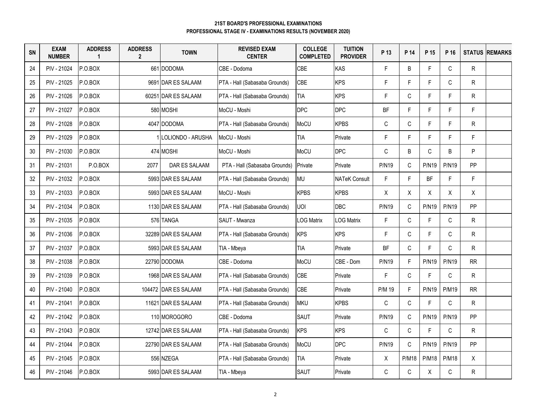| SN | <b>EXAM</b><br><b>NUMBER</b> | <b>ADDRESS</b><br>$\blacktriangleleft$ | <b>ADDRESS</b><br>$\overline{2}$ | <b>TOWN</b>          | <b>REVISED EXAM</b><br><b>CENTER</b> | <b>COLLEGE</b><br><b>COMPLETED</b> | <b>TUITION</b><br><b>PROVIDER</b> | P 13         | P 14         | P 15         | P 16         |              | <b>STATUS REMARKS</b> |
|----|------------------------------|----------------------------------------|----------------------------------|----------------------|--------------------------------------|------------------------------------|-----------------------------------|--------------|--------------|--------------|--------------|--------------|-----------------------|
| 24 | PIV - 21024                  | P.O.BOX                                |                                  | 661 DODOMA           | CBE - Dodoma                         | CBE                                | KAS                               | F.           | B            | F            | $\mathsf{C}$ | ${\sf R}$    |                       |
| 25 | PIV - 21025                  | P.O.BOX                                |                                  | 9691 DAR ES SALAAM   | PTA - Hall (Sabasaba Grounds)        | <b>CBE</b>                         | <b>KPS</b>                        | F            | F.           | $\mathsf F$  | $\mathsf C$  | R            |                       |
| 26 | PIV - 21026                  | P.O.BOX                                |                                  | 60251 DAR ES SALAAM  | PTA - Hall (Sabasaba Grounds)        | <b>TIA</b>                         | <b>KPS</b>                        | F            | $\mathsf{C}$ | F            | F.           | R            |                       |
| 27 | PIV - 21027                  | P.O.BOX                                |                                  | 580 MOSHI            | MoCU - Moshi                         | <b>DPC</b>                         | <b>DPC</b>                        | BF           | F            | F            | F.           | F.           |                       |
| 28 | PIV - 21028                  | P.O.BOX                                |                                  | 4047 DODOMA          | PTA - Hall (Sabasaba Grounds)        | MoCU                               | <b>KPBS</b>                       | $\mathsf{C}$ | $\mathsf{C}$ | F            | F.           | $\mathsf{R}$ |                       |
| 29 | PIV - 21029                  | P.O.BOX                                |                                  | 1 LOLIONDO - ARUSHA  | MoCU - Moshi                         | <b>TIA</b>                         | Private                           | F            | F.           | F            | F            | F.           |                       |
| 30 | PIV - 21030                  | P.O.BOX                                |                                  | 474 MOSHI            | MoCU - Moshi                         | MoCU                               | <b>DPC</b>                        | C            | B            | $\mathsf C$  | B            | P            |                       |
| 31 | PIV - 21031                  | P.O.BOX                                | 2077                             | DAR ES SALAAM        | PTA - Hall (Sabasaba Grounds)        | Private                            | Private                           | <b>P/N19</b> | C            | <b>P/N19</b> | <b>P/N19</b> | PP           |                       |
| 32 | PIV - 21032                  | P.O.BOX                                |                                  | 5993 DAR ES SALAAM   | PTA - Hall (Sabasaba Grounds)        | <b>MU</b>                          | <b>NATeK Consult</b>              | F            | F.           | <b>BF</b>    | F.           | F.           |                       |
| 33 | PIV - 21033                  | P.O.BOX                                |                                  | 5993 DAR ES SALAAM   | MoCU - Moshi                         | <b>KPBS</b>                        | <b>KPBS</b>                       | X            | X            | Χ            | X            | Χ            |                       |
| 34 | PIV - 21034                  | P.O.BOX                                |                                  | 1130 DAR ES SALAAM   | PTA - Hall (Sabasaba Grounds)        | <b>UOI</b>                         | DBC                               | <b>P/N19</b> | C            | <b>P/N19</b> | <b>P/N19</b> | <b>PP</b>    |                       |
| 35 | PIV - 21035                  | P.O.BOX                                |                                  | 576 TANGA            | SAUT - Mwanza                        | <b>LOG Matrix</b>                  | <b>LOG Matrix</b>                 | F            | $\mathsf{C}$ | F            | C            | R.           |                       |
| 36 | PIV - 21036                  | P.O.BOX                                |                                  | 32289 DAR ES SALAAM  | PTA - Hall (Sabasaba Grounds)        | <b>KPS</b>                         | <b>KPS</b>                        | F            | $\mathsf{C}$ | F            | C            | R            |                       |
| 37 | PIV - 21037                  | P.O.BOX                                |                                  | 5993 DAR ES SALAAM   | TIA - Mbeya                          | TIA                                | Private                           | <b>BF</b>    | $\mathsf{C}$ | F            | C.           | R            |                       |
| 38 | PIV - 21038                  | P.O.BOX                                |                                  | 22790 DODOMA         | CBE - Dodoma                         | MoCU                               | CBE - Dom                         | <b>P/N19</b> | $\mathsf F$  | <b>P/N19</b> | <b>P/N19</b> | RR           |                       |
| 39 | PIV - 21039                  | P.O.BOX                                |                                  | 1968 DAR ES SALAAM   | PTA - Hall (Sabasaba Grounds)        | <b>CBE</b>                         | Private                           | F            | $\mathsf{C}$ | F            | $\mathsf{C}$ | R            |                       |
| 40 | PIV - 21040                  | P.O.BOX                                |                                  | 104472 DAR ES SALAAM | PTA - Hall (Sabasaba Grounds)        | CBE                                | Private                           | P/M 19       | F.           | <b>P/N19</b> | <b>P/M19</b> | RR           |                       |
| 41 | PIV - 21041                  | P.O.BOX                                |                                  | 11621 DAR ES SALAAM  | PTA - Hall (Sabasaba Grounds)        | <b>MKU</b>                         | <b>KPBS</b>                       | $\mathsf C$  | $\mathsf C$  | F            | $\mathsf C$  | ${\sf R}$    |                       |
| 42 | PIV - 21042                  | P.O.BOX                                |                                  | 110 MOROGORO         | CBE - Dodoma                         | <b>SAUT</b>                        | Private                           | <b>P/N19</b> | $\mathsf C$  | <b>P/N19</b> | <b>P/N19</b> | <b>PP</b>    |                       |
| 43 | PIV - 21043                  | P.O.BOX                                |                                  | 12742 DAR ES SALAAM  | PTA - Hall (Sabasaba Grounds)        | <b>KPS</b>                         | <b>KPS</b>                        | $\mathsf{C}$ | $\mathsf{C}$ | F            | $\mathsf C$  | $\mathsf{R}$ |                       |
| 44 | PIV - 21044                  | P.O.BOX                                |                                  | 22790 DAR ES SALAAM  | PTA - Hall (Sabasaba Grounds)        | MoCU                               | <b>DPC</b>                        | <b>P/N19</b> | $\mathsf{C}$ | <b>P/N19</b> | <b>P/N19</b> | PP           |                       |
| 45 | PIV - 21045                  | P.O.BOX                                |                                  | 556 NZEGA            | PTA - Hall (Sabasaba Grounds)        | <b>TIA</b>                         | Private                           | X            | <b>P/M18</b> | <b>P/M18</b> | <b>P/M18</b> | X            |                       |
| 46 | PIV - 21046                  | P.O.BOX                                |                                  | 5993 DAR ES SALAAM   | TIA - Mbeya                          | <b>SAUT</b>                        | Private                           | C            | C            | Χ            | С            | ${\sf R}$    |                       |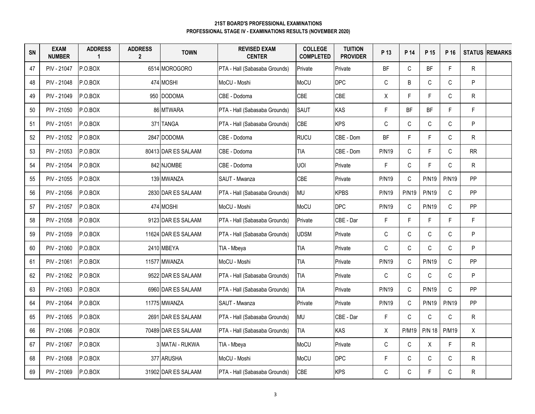| SN | <b>EXAM</b><br><b>NUMBER</b> | <b>ADDRESS</b><br>$\blacktriangleleft$ | <b>ADDRESS</b><br>$\mathbf{2}$ | <b>TOWN</b>         | <b>REVISED EXAM</b><br><b>CENTER</b> | <b>COLLEGE</b><br><b>COMPLETED</b> | <b>TUITION</b><br><b>PROVIDER</b> | P 13         | P 14         | P 15          | P 16         |              | <b>STATUS REMARKS</b> |
|----|------------------------------|----------------------------------------|--------------------------------|---------------------|--------------------------------------|------------------------------------|-----------------------------------|--------------|--------------|---------------|--------------|--------------|-----------------------|
| 47 | PIV - 21047                  | P.O.BOX                                |                                | 6514 MOROGORO       | PTA - Hall (Sabasaba Grounds)        | Private                            | Private                           | <b>BF</b>    | $\mathsf{C}$ | BF            | F.           | $\mathsf{R}$ |                       |
| 48 | PIV - 21048                  | P.O.BOX                                |                                | 474 MOSHI           | MoCU - Moshi                         | MoCU                               | <b>DPC</b>                        | $\mathsf C$  | B            | $\mathsf{C}$  | $\mathsf{C}$ | P.           |                       |
| 49 | PIV - 21049                  | P.O.BOX                                |                                | 950 DODOMA          | CBE - Dodoma                         | CBE                                | CBE                               | X            | F.           | F             | $\mathsf{C}$ | R.           |                       |
| 50 | PIV - 21050                  | P.O.BOX                                |                                | 86 MTWARA           | PTA - Hall (Sabasaba Grounds)        | <b>SAUT</b>                        | KAS                               | $\mathsf F$  | BF           | BF            | F            | F            |                       |
| 51 | PIV - 21051                  | P.O.BOX                                |                                | 371 TANGA           | PTA - Hall (Sabasaba Grounds)        | <b>CBE</b>                         | <b>KPS</b>                        | $\mathsf C$  | $\mathsf C$  | C             | $\mathsf{C}$ | P            |                       |
| 52 | PIV - 21052                  | P.O.BOX                                |                                | 2847 IDODOMA        | CBE - Dodoma                         | <b>RUCU</b>                        | CBE - Dom                         | <b>BF</b>    | F.           | F.            | $\mathsf{C}$ | R.           |                       |
| 53 | PIV - 21053                  | P.O.BOX                                |                                | 80413 DAR ES SALAAM | CBE - Dodoma                         | <b>TIA</b>                         | CBE - Dom                         | <b>P/N19</b> | $\mathsf{C}$ | F             | $\mathsf{C}$ | <b>RR</b>    |                       |
| 54 | PIV - 21054                  | P.O.BOX                                |                                | 842 NJOMBE          | CBE - Dodoma                         | <b>UOI</b>                         | Private                           | F            | C            | F             | $\mathsf C$  | R.           |                       |
| 55 | PIV - 21055                  | P.O.BOX                                |                                | 139 MWANZA          | SAUT - Mwanza                        | CBE                                | Private                           | <b>P/N19</b> | C            | <b>P/N19</b>  | <b>P/N19</b> | <b>PP</b>    |                       |
| 56 | PIV - 21056                  | P.O.BOX                                |                                | 2830 DAR ES SALAAM  | PTA - Hall (Sabasaba Grounds)        | MU                                 | <b>KPBS</b>                       | <b>P/N19</b> | <b>P/N19</b> | <b>P/N19</b>  | C            | PP           |                       |
| 57 | PIV - 21057                  | P.O.BOX                                |                                | 474 MOSHI           | MoCU - Moshi                         | MoCU                               | <b>DPC</b>                        | <b>P/N19</b> | $\mathsf C$  | <b>P/N19</b>  | $\mathsf{C}$ | PP           |                       |
| 58 | PIV - 21058                  | P.O.BOX                                |                                | 9123 DAR ES SALAAM  | PTA - Hall (Sabasaba Grounds)        | Private                            | CBE - Dar                         | F            | F.           | F.            | F            | F.           |                       |
| 59 | PIV - 21059                  | P.O.BOX                                |                                | 11624 DAR ES SALAAM | PTA - Hall (Sabasaba Grounds)        | <b>UDSM</b>                        | Private                           | C            | C            | C             | C            | P            |                       |
| 60 | PIV - 21060                  | P.O.BOX                                |                                | 2410 MBEYA          | TIA - Mbeya                          | <b>TIA</b>                         | Private                           | $\mathsf C$  | $\mathsf C$  | $\mathsf{C}$  | $\mathsf{C}$ | P            |                       |
| 61 | PIV - 21061                  | P.O.BOX                                |                                | 11577 MWANZA        | MoCU - Moshi                         | <b>TIA</b>                         | Private                           | <b>P/N19</b> | $\mathsf C$  | <b>P/N19</b>  | $\mathsf{C}$ | <b>PP</b>    |                       |
| 62 | PIV - 21062                  | P.O.BOX                                |                                | 9522 DAR ES SALAAM  | PTA - Hall (Sabasaba Grounds)        | <b>TIA</b>                         | Private                           | $\mathsf C$  | $\mathsf C$  | $\mathsf C$   | $\mathsf{C}$ | P.           |                       |
| 63 | PIV - 21063                  | P.O.BOX                                |                                | 6960 DAR ES SALAAM  | PTA - Hall (Sabasaba Grounds)        | <b>TIA</b>                         | Private                           | <b>P/N19</b> | $\mathsf C$  | <b>P/N19</b>  | $\mathsf{C}$ | <b>PP</b>    |                       |
| 64 | PIV - 21064                  | P.O.BOX                                |                                | 11775 MWANZA        | SAUT - Mwanza                        | Private                            | Private                           | <b>P/N19</b> | $\mathsf C$  | <b>P/N19</b>  | <b>P/N19</b> | <b>PP</b>    |                       |
| 65 | PIV - 21065                  | P.O.BOX                                |                                | 2691 DAR ES SALAAM  | PTA - Hall (Sabasaba Grounds)        | <b>MU</b>                          | CBE - Dar                         | $\mathsf F$  | $\mathsf C$  | C             | $\mathsf{C}$ | R.           |                       |
| 66 | PIV - 21066                  | P.O.BOX                                |                                | 70489 DAR ES SALAAM | PTA - Hall (Sabasaba Grounds)        | <b>TIA</b>                         | <b>KAS</b>                        | X            | <b>P/M19</b> | <b>P/N 18</b> | <b>P/M19</b> | X            |                       |
| 67 | PIV - 21067                  | P.O.BOX                                |                                | 3 MATAI - RUKWA     | TIA - Mbeya                          | MoCU                               | Private                           | C            | $\mathsf{C}$ | X             | F            | $\mathsf{R}$ |                       |
| 68 | PIV - 21068                  | P.O.BOX                                |                                | 377 ARUSHA          | MoCU - Moshi                         | MoCU                               | <b>DPC</b>                        | $\mathsf F$  | $\mathsf C$  | $\mathsf C$   | C            | R.           |                       |
| 69 | PIV - 21069                  | P.O.BOX                                |                                | 31902 DAR ES SALAAM | PTA - Hall (Sabasaba Grounds)        | <b>CBE</b>                         | <b>KPS</b>                        | $\mathsf C$  | $\mathsf C$  | F             | $\mathsf C$  | $\mathsf{R}$ |                       |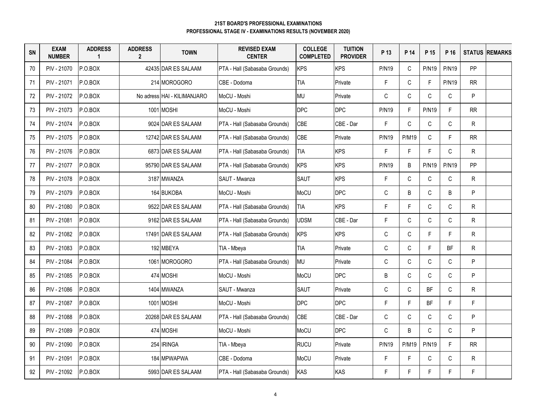| SN | <b>EXAM</b><br><b>NUMBER</b> | <b>ADDRESS</b><br>$\blacktriangleleft$ | <b>ADDRESS</b><br>$\overline{2}$ | <b>TOWN</b>                 | <b>REVISED EXAM</b><br><b>CENTER</b> | <b>COLLEGE</b><br><b>COMPLETED</b> | <b>TUITION</b><br><b>PROVIDER</b> | P 13         | P 14         | P 15         | P 16         |           | <b>STATUS REMARKS</b> |
|----|------------------------------|----------------------------------------|----------------------------------|-----------------------------|--------------------------------------|------------------------------------|-----------------------------------|--------------|--------------|--------------|--------------|-----------|-----------------------|
| 70 | PIV - 21070                  | P.O.BOX                                |                                  | 42435 DAR ES SALAAM         | PTA - Hall (Sabasaba Grounds)        | <b>KPS</b>                         | <b>KPS</b>                        | <b>P/N19</b> | $\mathsf{C}$ | <b>P/N19</b> | <b>P/N19</b> | PP        |                       |
| 71 | PIV - 21071                  | P.O.BOX                                |                                  | 214 MOROGORO                | CBE - Dodoma                         | <b>TIA</b>                         | Private                           | F            | $\mathsf{C}$ | $\mathsf F$  | <b>P/N19</b> | RR        |                       |
| 72 | PIV - 21072                  | P.O.BOX                                |                                  | No adress HAI - KILIMANJARO | MoCU - Moshi                         | <b>MU</b>                          | Private                           | $\mathsf C$  | $\mathsf C$  | $\mathsf C$  | $\mathsf C$  | P         |                       |
| 73 | PIV - 21073                  | P.O.BOX                                |                                  | 1001 MOSHI                  | MoCU - Moshi                         | <b>DPC</b>                         | <b>DPC</b>                        | <b>P/N19</b> | F            | <b>P/N19</b> | F.           | RR        |                       |
| 74 | PIV - 21074                  | P.O.BOX                                |                                  | 9024 DAR ES SALAAM          | PTA - Hall (Sabasaba Grounds)        | <b>CBE</b>                         | CBE - Dar                         | F            | $\mathsf{C}$ | $\mathsf C$  | C            | R         |                       |
| 75 | PIV - 21075                  | P.O.BOX                                |                                  | 12742 DAR ES SALAAM         | PTA - Hall (Sabasaba Grounds)        | <b>CBE</b>                         | Private                           | <b>P/N19</b> | <b>P/M19</b> | $\mathsf C$  | F.           | RR        |                       |
| 76 | PIV - 21076                  | P.O.BOX                                |                                  | 6873 DAR ES SALAAM          | PTA - Hall (Sabasaba Grounds)        | <b>TIA</b>                         | <b>KPS</b>                        | F            | F.           | F            | C.           | ${\sf R}$ |                       |
| 77 | PIV - 21077                  | P.O.BOX                                |                                  | 95790 DAR ES SALAAM         | PTA - Hall (Sabasaba Grounds)        | <b>KPS</b>                         | <b>KPS</b>                        | <b>P/N19</b> | B            | <b>P/N19</b> | <b>P/N19</b> | PP        |                       |
| 78 | PIV - 21078                  | P.O.BOX                                |                                  | 3187 MWANZA                 | SAUT - Mwanza                        | <b>SAUT</b>                        | <b>KPS</b>                        | F            | C            | $\mathbb C$  | $\mathsf C$  | R         |                       |
| 79 | PIV - 21079                  | P.O.BOX                                |                                  | 164 BUKOBA                  | MoCU - Moshi                         | MoCU                               | <b>DPC</b>                        | C            | B            | C            | B            | P         |                       |
| 80 | PIV - 21080                  | P.O.BOX                                |                                  | 9522 DAR ES SALAAM          | PTA - Hall (Sabasaba Grounds)        | <b>TIA</b>                         | <b>KPS</b>                        | F            | F.           | C            | C            | R         |                       |
| 81 | PIV - 21081                  | P.O.BOX                                |                                  | 9162 DAR ES SALAAM          | PTA - Hall (Sabasaba Grounds)        | <b>UDSM</b>                        | CBE - Dar                         | F            | $\mathsf{C}$ | $\mathsf C$  | C            | R         |                       |
| 82 | PIV - 21082                  | P.O.BOX                                |                                  | 17491 DAR ES SALAAM         | PTA - Hall (Sabasaba Grounds)        | <b>KPS</b>                         | <b>KPS</b>                        | $\mathsf C$  | C            | F            | F            | ${\sf R}$ |                       |
| 83 | PIV - 21083                  | P.O.BOX                                |                                  | 192 MBEYA                   | TIA - Mbeya                          | <b>TIA</b>                         | Private                           | $\mathsf{C}$ | C            | $\mathsf F$  | BF           | R         |                       |
| 84 | PIV - 21084                  | P.O.BOX                                |                                  | 1061 MOROGORO               | PTA - Hall (Sabasaba Grounds)        | <b>MU</b>                          | Private                           | $\mathsf{C}$ | $\mathsf{C}$ | $\mathsf C$  | $\mathsf C$  | P         |                       |
| 85 | PIV - 21085                  | P.O.BOX                                |                                  | 474 MOSHI                   | MoCU - Moshi                         | MoCU                               | <b>DPC</b>                        | B            | $\mathsf{C}$ | $\mathsf C$  | C            | P         |                       |
| 86 | PIV - 21086                  | P.O.BOX                                |                                  | 1404 MWANZA                 | SAUT - Mwanza                        | SAUT                               | Private                           | С            | $\mathsf{C}$ | <b>BF</b>    | C            | ${\sf R}$ |                       |
| 87 | PIV - 21087                  | P.O.BOX                                |                                  | 1001 MOSHI                  | MoCU - Moshi                         | <b>DPC</b>                         | <b>DPC</b>                        | F            | F            | BF           | F.           | F.        |                       |
| 88 | PIV - 21088                  | P.O.BOX                                |                                  | 20268 DAR ES SALAAM         | PTA - Hall (Sabasaba Grounds)        | <b>CBE</b>                         | CBE - Dar                         | $\mathsf C$  | $\mathsf C$  | $\mathsf C$  | C            | P         |                       |
| 89 | PIV - 21089                  | P.O.BOX                                |                                  | 474 MOSHI                   | MoCU - Moshi                         | MoCU                               | <b>DPC</b>                        | $\mathsf{C}$ | B            | $\mathsf{C}$ | C            | P         |                       |
| 90 | PIV - 21090                  | P.O.BOX                                |                                  | 254 IRINGA                  | TIA - Mbeya                          | <b>RUCU</b>                        | Private                           | <b>P/N19</b> | <b>P/M19</b> | <b>P/N19</b> | F.           | RR        |                       |
| 91 | PIV - 21091                  | P.O.BOX                                |                                  | 184 MPWAPWA                 | CBE - Dodoma                         | MoCU                               | Private                           | F            | F.           | $\mathtt{C}$ | $\mathsf C$  | R         |                       |
| 92 | PIV - 21092                  | P.O.BOX                                |                                  | 5993 DAR ES SALAAM          | PTA - Hall (Sabasaba Grounds)        | KAS                                | KAS                               | F            | F            | F            | F            | F         |                       |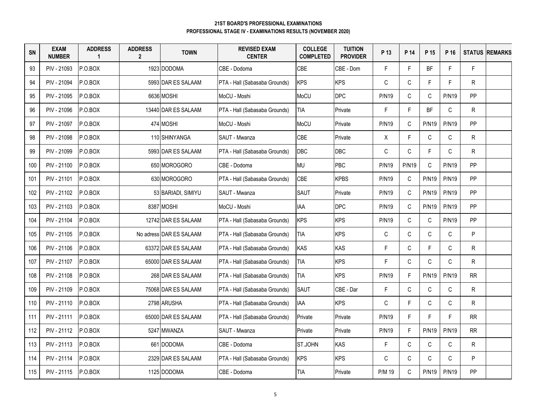| SN  | <b>EXAM</b><br><b>NUMBER</b> | <b>ADDRESS</b><br>$\overline{1}$ | <b>ADDRESS</b><br>$\mathbf{2}$ | <b>TOWN</b>             | <b>REVISED EXAM</b><br><b>CENTER</b> | <b>COLLEGE</b><br><b>COMPLETED</b> | <b>TUITION</b><br><b>PROVIDER</b> | P 13         | P 14         | P 15         | P 16         |              | <b>STATUS REMARKS</b> |
|-----|------------------------------|----------------------------------|--------------------------------|-------------------------|--------------------------------------|------------------------------------|-----------------------------------|--------------|--------------|--------------|--------------|--------------|-----------------------|
| 93  | PIV - 21093                  | P.O.BOX                          |                                | 1923 DODOMA             | CBE - Dodoma                         | <b>CBE</b>                         | CBE - Dom                         | $\mathsf F$  | F.           | BF           | F            | F            |                       |
| 94  | PIV - 21094                  | P.O.BOX                          |                                | 5993 DAR ES SALAAM      | PTA - Hall (Sabasaba Grounds)        | <b>KPS</b>                         | <b>KPS</b>                        | $\mathsf C$  | $\mathsf C$  | F            | F            | R.           |                       |
| 95  | PIV - 21095                  | P.O.BOX                          |                                | 6636 MOSHI              | MoCU - Moshi                         | MoCU                               | <b>DPC</b>                        | <b>P/N19</b> | $\mathsf{C}$ | $\mathsf C$  | <b>P/N19</b> | <b>PP</b>    |                       |
| 96  | PIV - 21096                  | P.O.BOX                          |                                | 13440 DAR ES SALAAM     | PTA - Hall (Sabasaba Grounds)        | <b>TIA</b>                         | Private                           | F            | $\mathsf{F}$ | BF           | $\mathsf{C}$ | R.           |                       |
| 97  | PIV - 21097                  | P.O.BOX                          |                                | 474 MOSHI               | MoCU - Moshi                         | MoCU                               | Private                           | <b>P/N19</b> | $\mathsf C$  | <b>P/N19</b> | <b>P/N19</b> | PP           |                       |
| 98  | PIV - 21098                  | P.O.BOX                          |                                | 110 SHINYANGA           | SAUT - Mwanza                        | CBE                                | Private                           | X            | F.           | C            | C            | R.           |                       |
| 99  | PIV - 21099                  | P.O.BOX                          |                                | 5993 DAR ES SALAAM      | PTA - Hall (Sabasaba Grounds)        | <b>DBC</b>                         | <b>DBC</b>                        | $\mathsf C$  | $\mathsf C$  | F            | $\mathsf{C}$ | R.           |                       |
| 100 | PIV - 21100                  | P.O.BOX                          |                                | 650 MOROGORO            | CBE - Dodoma                         | <b>MU</b>                          | PBC                               | <b>P/N19</b> | <b>P/N19</b> | $\mathsf C$  | <b>P/N19</b> | PP           |                       |
| 101 | PIV - 21101                  | P.O.BOX                          |                                | 630 MOROGORO            | PTA - Hall (Sabasaba Grounds)        | <b>CBE</b>                         | <b>KPBS</b>                       | <b>P/N19</b> | C            | <b>P/N19</b> | <b>P/N19</b> | <b>PP</b>    |                       |
| 102 | PIV - 21102                  | P.O.BOX                          |                                | 53 BARIADI, SIMIYU      | SAUT - Mwanza                        | <b>SAUT</b>                        | Private                           | <b>P/N19</b> | C            | <b>P/N19</b> | <b>P/N19</b> | PP           |                       |
| 103 | PIV - 21103                  | P.O.BOX                          |                                | 8387 MOSHI              | MoCU - Moshi                         | IAA                                | <b>DPC</b>                        | <b>P/N19</b> | C            | <b>P/N19</b> | <b>P/N19</b> | <b>PP</b>    |                       |
| 104 | PIV - 21104                  | P.O.BOX                          |                                | 12742 DAR ES SALAAM     | PTA - Hall (Sabasaba Grounds)        | <b>KPS</b>                         | <b>KPS</b>                        | <b>P/N19</b> | $\mathsf C$  | C            | P/N19        | <b>PP</b>    |                       |
| 105 | PIV - 21105                  | P.O.BOX                          |                                | No adress DAR ES SALAAM | PTA - Hall (Sabasaba Grounds)        | <b>TIA</b>                         | <b>KPS</b>                        | C            | $\mathsf C$  | $\mathsf C$  | $\mathsf C$  | P.           |                       |
| 106 | PIV - 21106                  | P.O.BOX                          |                                | 63372 DAR ES SALAAM     | PTA - Hall (Sabasaba Grounds)        | KAS                                | KAS                               | $\mathsf F$  | C            | F            | $\mathsf C$  | R.           |                       |
| 107 | PIV - 21107                  | P.O.BOX                          |                                | 65000 DAR ES SALAAM     | PTA - Hall (Sabasaba Grounds)        | <b>TIA</b>                         | <b>KPS</b>                        | $\mathsf F$  | $\mathsf C$  | $\mathsf C$  | $\mathsf{C}$ | $\mathsf{R}$ |                       |
| 108 | PIV - 21108                  | P.O.BOX                          |                                | 268 DAR ES SALAAM       | PTA - Hall (Sabasaba Grounds)        | <b>TIA</b>                         | <b>KPS</b>                        | <b>P/N19</b> | F.           | <b>P/N19</b> | <b>P/N19</b> | RR.          |                       |
| 109 | PIV - 21109                  | IP.O.BOX                         |                                | 75068 DAR ES SALAAM     | PTA - Hall (Sabasaba Grounds)        | <b>SAUT</b>                        | CBE - Dar                         | $\mathsf F$  | $\mathsf C$  | C            | C            | R.           |                       |
| 110 | PIV - 21110                  | P.O.BOX                          |                                | 2798 ARUSHA             | PTA - Hall (Sabasaba Grounds)        | <b>IAA</b>                         | <b>KPS</b>                        | $\mathsf C$  | F.           | $\mathsf C$  | $\mathsf{C}$ | R.           |                       |
| 111 | PIV - 21111                  | P.O.BOX                          |                                | 65000 DAR ES SALAAM     | PTA - Hall (Sabasaba Grounds)        | Private                            | Private                           | <b>P/N19</b> | F.           | F.           | F            | <b>RR</b>    |                       |
| 112 | PIV - 21112                  | P.O.BOX                          |                                | 5247 MWANZA             | SAUT - Mwanza                        | Private                            | Private                           | <b>P/N19</b> | F.           | <b>P/N19</b> | <b>P/N19</b> | RR.          |                       |
| 113 | PIV - 21113                  | P.O.BOX                          |                                | 661 DODOMA              | CBE - Dodoma                         | ST.JOHN                            | KAS                               | $\mathsf F$  | C            | C            | C            | R.           |                       |
| 114 | PIV - 21114                  | P.O.BOX                          |                                | 2329 DAR ES SALAAM      | PTA - Hall (Sabasaba Grounds)        | <b>KPS</b>                         | <b>KPS</b>                        | $\mathsf C$  | $\mathsf C$  | $\mathsf C$  | $\mathsf{C}$ | P            |                       |
| 115 | PIV - 21115                  | P.O.BOX                          |                                | 1125 DODOMA             | CBE - Dodoma                         | <b>TIA</b>                         | Private                           | P/M 19       | C            | <b>P/N19</b> | <b>P/N19</b> | <b>PP</b>    |                       |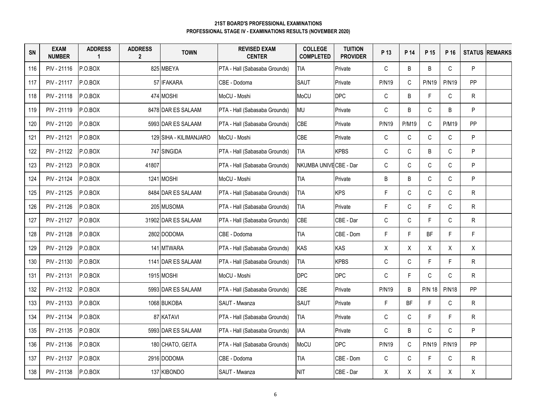| SN  | <b>EXAM</b><br><b>NUMBER</b> | <b>ADDRESS</b><br>$\overline{\mathbf{1}}$ | <b>ADDRESS</b><br>$\mathbf{2}$ | <b>TOWN</b>            | <b>REVISED EXAM</b><br><b>CENTER</b> | <b>COLLEGE</b><br><b>COMPLETED</b> | <b>TUITION</b><br><b>PROVIDER</b> | P 13         | P 14         | P 15          | P 16         | <b>STATUS</b> | <b>REMARKS</b> |
|-----|------------------------------|-------------------------------------------|--------------------------------|------------------------|--------------------------------------|------------------------------------|-----------------------------------|--------------|--------------|---------------|--------------|---------------|----------------|
| 116 | PIV - 21116                  | P.O.BOX                                   |                                | 825 MBEYA              | PTA - Hall (Sabasaba Grounds)        | TIA                                | Private                           | $\mathsf{C}$ | B            | B             | $\mathsf{C}$ | P             |                |
| 117 | PIV - 21117                  | P.O.BOX                                   |                                | 57 IFAKARA             | CBE - Dodoma                         | SAUT                               | Private                           | <b>P/N19</b> | $\mathsf C$  | <b>P/N19</b>  | <b>P/N19</b> | PP            |                |
| 118 | PIV - 21118                  | P.O.BOX                                   |                                | 474 MOSHI              | MoCU - Moshi                         | MoCU                               | <b>DPC</b>                        | $\mathsf C$  | B            | F             | C            | $\mathsf{R}$  |                |
| 119 | PIV - 21119                  | P.O.BOX                                   |                                | 8478 DAR ES SALAAM     | PTA - Hall (Sabasaba Grounds)        | <b>MU</b>                          | Private                           | C            | B            | C             | B            | P             |                |
| 120 | PIV - 21120                  | P.O.BOX                                   |                                | 5993 IDAR ES SALAAM    | PTA - Hall (Sabasaba Grounds)        | <b>CBE</b>                         | Private                           | <b>P/N19</b> | <b>P/M19</b> | C             | <b>P/M19</b> | PP            |                |
| 121 | PIV - 21121                  | P.O.BOX                                   |                                | 129 SIHA - KILIMANJARO | MoCU - Moshi                         | CBE                                | Private                           | $\mathsf C$  | $\mathsf C$  | C             | C            | P             |                |
| 122 | PIV - 21122                  | P.O.BOX                                   |                                | 747 SINGIDA            | PTA - Hall (Sabasaba Grounds)        | <b>TIA</b>                         | <b>KPBS</b>                       | С            | C            | B             | $\mathsf{C}$ | P             |                |
| 123 | PIV - 21123                  | P.O.BOX                                   | 41807                          |                        | PTA - Hall (Sabasaba Grounds)        | NKUMBA UNIVE CBE - Dar             |                                   | C            | $\mathsf C$  | C             | $\mathsf{C}$ | P             |                |
| 124 | PIV - 21124                  | P.O.BOX                                   |                                | 1241 MOSHI             | MoCU - Moshi                         | TIA                                | Private                           | B            | B            | C             | C            | P             |                |
| 125 | PIV - 21125                  | P.O.BOX                                   |                                | 8484 DAR ES SALAAM     | PTA - Hall (Sabasaba Grounds)        | <b>TIA</b>                         | <b>KPS</b>                        | F            | $\mathbb C$  | C             | C            | ${\sf R}$     |                |
| 126 | PIV - 21126                  | P.O.BOX                                   |                                | 205 MUSOMA             | PTA - Hall (Sabasaba Grounds)        | <b>TIA</b>                         | Private                           | F            | $\mathsf C$  | F             | $\mathsf C$  | ${\sf R}$     |                |
| 127 | PIV - 21127                  | P.O.BOX                                   |                                | 31902 DAR ES SALAAM    | PTA - Hall (Sabasaba Grounds)        | CBE                                | CBE - Dar                         | C            | C            | F.            | C            | $\mathsf{R}$  |                |
| 128 | PIV - 21128                  | P.O.BOX                                   |                                | 2802 DODOMA            | CBE - Dodoma                         | <b>TIA</b>                         | CBE - Dom                         | F            | F.           | BF            | F            | F.            |                |
| 129 | PIV - 21129                  | P.O.BOX                                   |                                | 141 MTWARA             | PTA - Hall (Sabasaba Grounds)        | KAS                                | <b>KAS</b>                        | X            | X            | X             | X            | X             |                |
| 130 | PIV - 21130                  | P.O.BOX                                   |                                | 1141 DAR ES SALAAM     | PTA - Hall (Sabasaba Grounds)        | <b>TIA</b>                         | <b>KPBS</b>                       | $\mathsf C$  | $\mathsf C$  | F.            | F            | R             |                |
| 131 | PIV - 21131                  | P.O.BOX                                   |                                | 1915 MOSHI             | MoCU - Moshi                         | <b>DPC</b>                         | <b>DPC</b>                        | $\mathsf C$  | F.           | $\mathsf C$   | $\mathsf{C}$ | $\mathsf R$   |                |
| 132 | PIV - 21132                  | P.O.BOX                                   |                                | 5993 DAR ES SALAAM     | PTA - Hall (Sabasaba Grounds)        | CBE                                | Private                           | <b>P/N19</b> | B            | <b>P/N 18</b> | <b>P/N18</b> | PP            |                |
| 133 | PIV - 21133                  | P.O.BOX                                   |                                | 1068 BUKOBA            | SAUT - Mwanza                        | <b>SAUT</b>                        | Private                           | F            | <b>BF</b>    | F             | $\mathsf C$  | ${\sf R}$     |                |
| 134 | PIV - 21134                  | P.O.BOX                                   |                                | 87 KATAVI              | PTA - Hall (Sabasaba Grounds)        | <b>TIA</b>                         | Private                           | С            | C            | F.            | F.           | $\mathsf{R}$  |                |
| 135 | PIV - 21135                  | P.O.BOX                                   |                                | 5993 DAR ES SALAAM     | PTA - Hall (Sabasaba Grounds)        | IAA                                | Private                           | C            | B            | $\mathsf{C}$  | $\mathsf{C}$ | P             |                |
| 136 | PIV - 21136                  | P.O.BOX                                   |                                | 180 CHATO, GEITA       | PTA - Hall (Sabasaba Grounds)        | MoCU                               | <b>DPC</b>                        | <b>P/N19</b> | $\mathsf C$  | <b>P/N19</b>  | <b>P/N19</b> | <b>PP</b>     |                |
| 137 | PIV - 21137                  | P.O.BOX                                   |                                | 2916 DODOMA            | CBE - Dodoma                         | <b>TIA</b>                         | CBE - Dom                         | $\mathsf C$  | $\mathsf C$  | F.            | C            | R             |                |
| 138 | PIV - 21138                  | P.O.BOX                                   |                                | 137 KIBONDO            | SAUT - Mwanza                        | <b>NIT</b>                         | CBE - Dar                         | Χ            | Χ            | Χ             | Χ            | X             |                |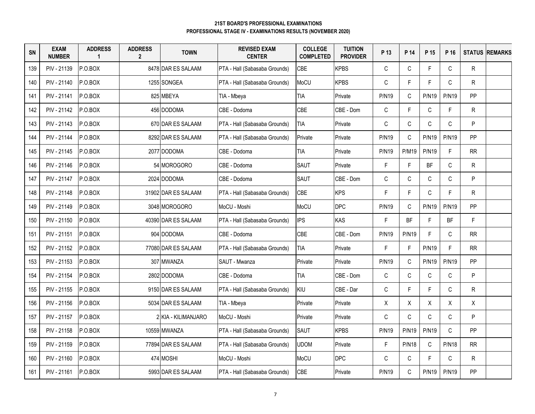| <b>SN</b> | <b>EXAM</b><br><b>NUMBER</b> | <b>ADDRESS</b><br>1 | <b>ADDRESS</b><br>$\overline{2}$ | <b>TOWN</b>         | <b>REVISED EXAM</b><br><b>CENTER</b> | <b>COLLEGE</b><br><b>COMPLETED</b> | <b>TUITION</b><br><b>PROVIDER</b> | P 13         | P 14         | P 15         | P 16         |              | <b>STATUS REMARKS</b> |
|-----------|------------------------------|---------------------|----------------------------------|---------------------|--------------------------------------|------------------------------------|-----------------------------------|--------------|--------------|--------------|--------------|--------------|-----------------------|
| 139       | PIV - 21139                  | P.O.BOX             |                                  | 8478 DAR ES SALAAM  | PTA - Hall (Sabasaba Grounds)        | CBE                                | <b>KPBS</b>                       | $\mathsf C$  | $\mathsf C$  | F            | $\mathsf{C}$ | $\mathsf{R}$ |                       |
| 140       | PIV - 21140                  | P.O.BOX             |                                  | 1255 SONGEA         | PTA - Hall (Sabasaba Grounds)        | MoCU                               | <b>KPBS</b>                       | C            | $\mathsf{F}$ | F.           | $\mathsf{C}$ | $\mathsf{R}$ |                       |
| 141       | PIV - 21141                  | P.0.BOX             |                                  | 825 MBEYA           | TIA - Mbeya                          | <b>TIA</b>                         | Private                           | <b>P/N19</b> | $\mathsf C$  | <b>P/N19</b> | <b>P/N19</b> | PP           |                       |
| 142       | PIV - 21142                  | P.O.BOX             |                                  | 456 DODOMA          | CBE - Dodoma                         | CBE                                | CBE - Dom                         | $\mathsf C$  | $\mathsf F$  | C            | F            | $\mathsf{R}$ |                       |
| 143       | PIV - 21143                  | P.O.BOX             |                                  | 670 DAR ES SALAAM   | PTA - Hall (Sabasaba Grounds)        | <b>TIA</b>                         | Private                           | $\mathsf C$  | $\mathsf C$  | C            | $\mathsf{C}$ | P.           |                       |
| 144       | PIV - 21144                  | P.O.BOX             |                                  | 8292 DAR ES SALAAM  | PTA - Hall (Sabasaba Grounds)        | Private                            | Private                           | <b>P/N19</b> | $\mathsf C$  | <b>P/N19</b> | <b>P/N19</b> | PP           |                       |
| 145       | PIV - 21145                  | P.O.BOX             |                                  | 2077 DODOMA         | CBE - Dodoma                         | <b>TIA</b>                         | Private                           | <b>P/N19</b> | <b>P/M19</b> | <b>P/N19</b> | F.           | <b>RR</b>    |                       |
| 146       | PIV - 21146                  | P.O.BOX             |                                  | 54 MOROGORO         | CBE - Dodoma                         | <b>SAUT</b>                        | Private                           | F            | F.           | BF           | $\mathsf{C}$ | R.           |                       |
| 147       | PIV - 21147                  | P.O.BOX             |                                  | 2024 DODOMA         | CBE - Dodoma                         | <b>SAUT</b>                        | CBE - Dom                         | C            | $\mathsf C$  | $\mathsf C$  | $\mathsf{C}$ | P            |                       |
| 148       | PIV - 21148                  | P.O.BOX             |                                  | 31902 DAR ES SALAAM | PTA - Hall (Sabasaba Grounds)        | CBE                                | <b>KPS</b>                        | F            | $\mathsf F$  | C            | F.           | R.           |                       |
| 149       | PIV - 21149                  | P.O.BOX             |                                  | 3048 MOROGORO       | MoCU - Moshi                         | <b>MoCU</b>                        | <b>DPC</b>                        | <b>P/N19</b> | C            | <b>P/N19</b> | <b>P/N19</b> | <b>PP</b>    |                       |
| 150       | PIV - 21150                  | P.O.BOX             |                                  | 40390 DAR ES SALAAM | PTA - Hall (Sabasaba Grounds)        | <b>IPS</b>                         | KAS                               | F            | <b>BF</b>    | F            | <b>BF</b>    | F.           |                       |
| 151       | PIV - 21151                  | P.0.BOX             |                                  | 904 DODOMA          | CBE - Dodoma                         | CBE                                | CBE - Dom                         | <b>P/N19</b> | <b>P/N19</b> | F            | $\mathsf{C}$ | RR           |                       |
| 152       | PIV - 21152                  | P.O.BOX             |                                  | 77080 DAR ES SALAAM | PTA - Hall (Sabasaba Grounds)        | <b>TIA</b>                         | Private                           | F.           | $\mathsf F$  | <b>P/N19</b> | F.           | <b>RR</b>    |                       |
| 153       | PIV - 21153                  | P.O.BOX             |                                  | 307 MWANZA          | SAUT - Mwanza                        | Private                            | Private                           | <b>P/N19</b> | $\mathsf{C}$ | <b>P/N19</b> | <b>P/N19</b> | <b>PP</b>    |                       |
| 154       | PIV - 21154                  | P.O.BOX             |                                  | 2802 DODOMA         | CBE - Dodoma                         | <b>TIA</b>                         | CBE - Dom                         | $\mathsf C$  | $\mathsf C$  | C            | $\mathsf C$  | P            |                       |
| 155       | PIV - 21155                  | P.O.BOX             |                                  | 9150 DAR ES SALAAM  | PTA - Hall (Sabasaba Grounds)        | KIU                                | CBE - Dar                         | $\mathsf C$  | F.           | F.           | $\mathsf C$  | R            |                       |
| 156       | PIV - 21156                  | P.0.BOX             |                                  | 5034 DAR ES SALAAM  | TIA - Mbeya                          | Private                            | Private                           | X            | X            | X            | X            | X            |                       |
| 157       | PIV - 21157                  | P.O.BOX             |                                  | 2 KIA - KILIMANJARO | MoCU - Moshi                         | Private                            | Private                           | C            | $\mathsf{C}$ | $\mathsf C$  | $\mathsf{C}$ | P            |                       |
| 158       | PIV - 21158                  | P.O.BOX             |                                  | 10559 MWANZA        | PTA - Hall (Sabasaba Grounds)        | <b>SAUT</b>                        | <b>KPBS</b>                       | <b>P/N19</b> | <b>P/N19</b> | <b>P/N19</b> | $\mathsf{C}$ | PP           |                       |
| 159       | PIV - 21159                  | P.O.BOX             |                                  | 77894 DAR ES SALAAM | PTA - Hall (Sabasaba Grounds)        | <b>UDOM</b>                        | Private                           | F            | <b>P/N18</b> | $\mathsf C$  | <b>P/N18</b> | <b>RR</b>    |                       |
| 160       | PIV - 21160                  | P.O.BOX             |                                  | 474 MOSHI           | MoCU - Moshi                         | MoCU                               | <b>DPC</b>                        | C            | $\mathsf C$  | F.           | C            | R.           |                       |
| 161       | PIV - 21161                  | P.O.BOX             |                                  | 5993 DAR ES SALAAM  | PTA - Hall (Sabasaba Grounds)        | CBE                                | Private                           | <b>P/N19</b> | $\mathsf C$  | <b>P/N19</b> | P/N19        | PP           |                       |